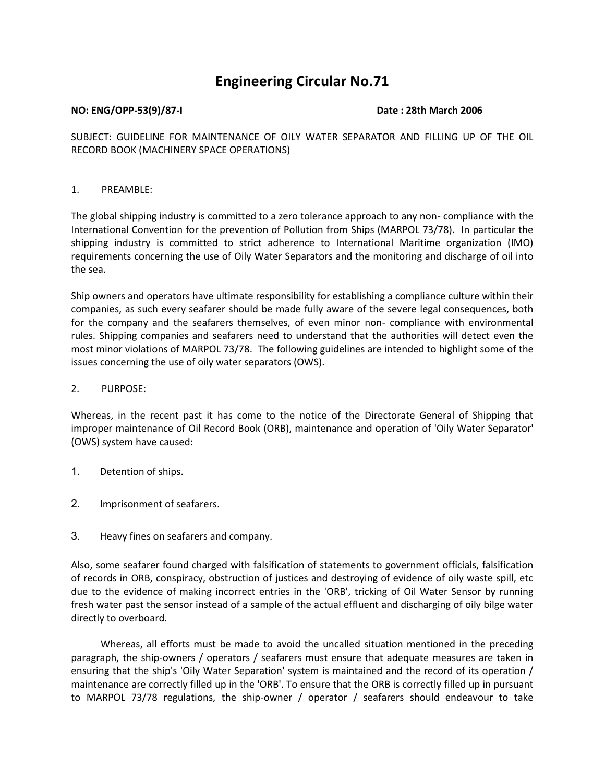# **Engineering Circular No.71**

#### **NO: ENG/OPP-53(9)/87-I Date : 28th March 2006**

SUBJECT: GUIDELINE FOR MAINTENANCE OF OILY WATER SEPARATOR AND FILLING UP OF THE OIL RECORD BOOK (MACHINERY SPACE OPERATIONS)

#### 1. PREAMBLE:

The global shipping industry is committed to a zero tolerance approach to any non- compliance with the International Convention for the prevention of Pollution from Ships (MARPOL 73/78). In particular the shipping industry is committed to strict adherence to International Maritime organization (IMO) requirements concerning the use of Oily Water Separators and the monitoring and discharge of oil into the sea.

Ship owners and operators have ultimate responsibility for establishing a compliance culture within their companies, as such every seafarer should be made fully aware of the severe legal consequences, both for the company and the seafarers themselves, of even minor non- compliance with environmental rules. Shipping companies and seafarers need to understand that the authorities will detect even the most minor violations of MARPOL 73/78. The following guidelines are intended to highlight some of the issues concerning the use of oily water separators (OWS).

#### 2. PURPOSE:

Whereas, in the recent past it has come to the notice of the Directorate General of Shipping that improper maintenance of Oil Record Book (ORB), maintenance and operation of 'Oily Water Separator' (OWS) system have caused:

- 1. Detention of ships.
- 2. Imprisonment of seafarers.
- 3. Heavy fines on seafarers and company.

Also, some seafarer found charged with falsification of statements to government officials, falsification of records in ORB, conspiracy, obstruction of justices and destroying of evidence of oily waste spill, etc due to the evidence of making incorrect entries in the 'ORB', tricking of Oil Water Sensor by running fresh water past the sensor instead of a sample of the actual effluent and discharging of oily bilge water directly to overboard.

 Whereas, all efforts must be made to avoid the uncalled situation mentioned in the preceding paragraph, the ship-owners / operators / seafarers must ensure that adequate measures are taken in ensuring that the ship's 'Oily Water Separation' system is maintained and the record of its operation / maintenance are correctly filled up in the 'ORB'. To ensure that the ORB is correctly filled up in pursuant to MARPOL 73/78 regulations, the ship-owner / operator / seafarers should endeavour to take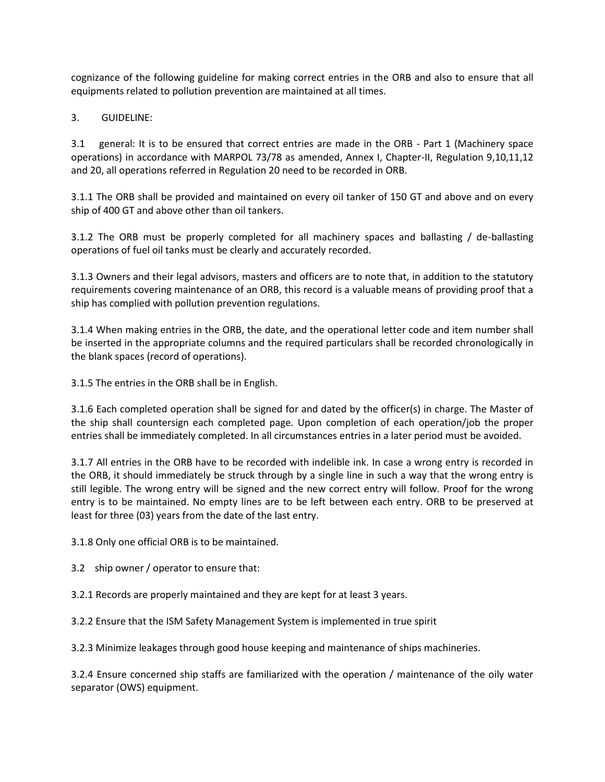cognizance of the following guideline for making correct entries in the ORB and also to ensure that all equipments related to pollution prevention are maintained at all times.

3. GUIDELINE:

3.1 general: It is to be ensured that correct entries are made in the ORB - Part 1 (Machinery space operations) in accordance with MARPOL 73/78 as amended, Annex I, Chapter-II, Regulation 9,10,11,12 and 20, all operations referred in Regulation 20 need to be recorded in ORB.

3.1.1 The ORB shall be provided and maintained on every oil tanker of 150 GT and above and on every ship of 400 GT and above other than oil tankers.

3.1.2 The ORB must be properly completed for all machinery spaces and ballasting / de-ballasting operations of fuel oil tanks must be clearly and accurately recorded.

3.1.3 Owners and their legal advisors, masters and officers are to note that, in addition to the statutory requirements covering maintenance of an ORB, this record is a valuable means of providing proof that a ship has complied with pollution prevention regulations.

3.1.4 When making entries in the ORB, the date, and the operational letter code and item number shall be inserted in the appropriate columns and the required particulars shall be recorded chronologically in the blank spaces (record of operations).

3.1.5 The entries in the ORB shall be in English.

3.1.6 Each completed operation shall be signed for and dated by the officer(s) in charge. The Master of the ship shall countersign each completed page. Upon completion of each operation/job the proper entries shall be immediately completed. In all circumstances entries in a later period must be avoided.

3.1.7 All entries in the ORB have to be recorded with indelible ink. In case a wrong entry is recorded in the ORB, it should immediately be struck through by a single line in such a way that the wrong entry is still legible. The wrong entry will be signed and the new correct entry will follow. Proof for the wrong entry is to be maintained. No empty lines are to be left between each entry. ORB to be preserved at least for three (03) years from the date of the last entry.

3.1.8 Only one official ORB is to be maintained.

3.2 ship owner / operator to ensure that:

3.2.1 Records are properly maintained and they are kept for at least 3 years.

3.2.2 Ensure that the ISM Safety Management System is implemented in true spirit

3.2.3 Minimize leakages through good house keeping and maintenance of ships machineries.

3.2.4 Ensure concerned ship staffs are familiarized with the operation / maintenance of the oily water separator (OWS) equipment.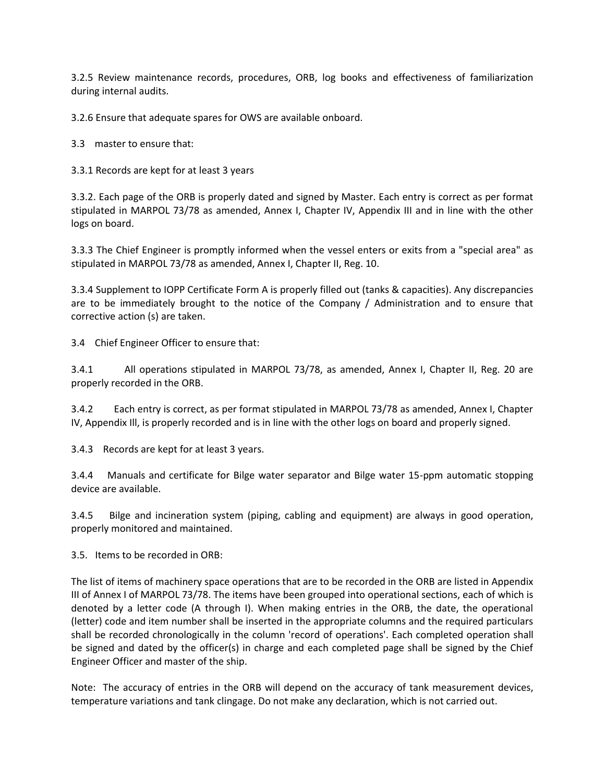3.2.5 Review maintenance records, procedures, ORB, log books and effectiveness of familiarization during internal audits.

3.2.6 Ensure that adequate spares for OWS are available onboard.

3.3 master to ensure that:

3.3.1 Records are kept for at least 3 years

3.3.2. Each page of the ORB is properly dated and signed by Master. Each entry is correct as per format stipulated in MARPOL 73/78 as amended, Annex I, Chapter IV, Appendix III and in line with the other logs on board.

3.3.3 The Chief Engineer is promptly informed when the vessel enters or exits from a "special area" as stipulated in MARPOL 73/78 as amended, Annex I, Chapter II, Reg. 10.

3.3.4 Supplement to IOPP Certificate Form A is properly filled out (tanks & capacities). Any discrepancies are to be immediately brought to the notice of the Company / Administration and to ensure that corrective action (s) are taken.

3.4 Chief Engineer Officer to ensure that:

3.4.1 All operations stipulated in MARPOL 73/78, as amended, Annex I, Chapter II, Reg. 20 are properly recorded in the ORB.

3.4.2 Each entry is correct, as per format stipulated in MARPOL 73/78 as amended, Annex I, Chapter IV, Appendix Ill, is properly recorded and is in line with the other logs on board and properly signed.

3.4.3 Records are kept for at least 3 years.

3.4.4 Manuals and certificate for Bilge water separator and Bilge water 15-ppm automatic stopping device are available.

3.4.5 Bilge and incineration system (piping, cabling and equipment) are always in good operation, properly monitored and maintained.

3.5. Items to be recorded in ORB:

The list of items of machinery space operations that are to be recorded in the ORB are listed in Appendix III of Annex I of MARPOL 73/78. The items have been grouped into operational sections, each of which is denoted by a letter code (A through I). When making entries in the ORB, the date, the operational (letter) code and item number shall be inserted in the appropriate columns and the required particulars shall be recorded chronologically in the column 'record of operations'. Each completed operation shall be signed and dated by the officer(s) in charge and each completed page shall be signed by the Chief Engineer Officer and master of the ship.

Note: The accuracy of entries in the ORB will depend on the accuracy of tank measurement devices, temperature variations and tank clingage. Do not make any declaration, which is not carried out.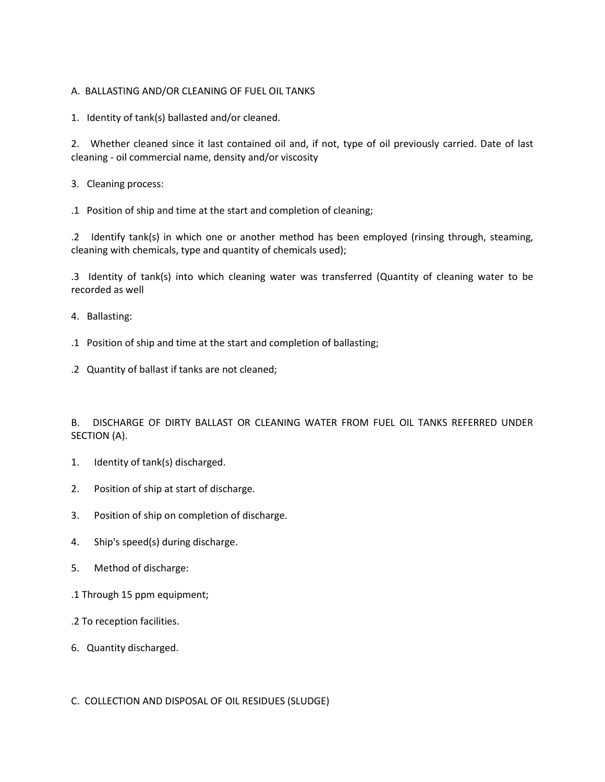# A. BALLASTING AND/OR CLEANING OF FUEL OIL TANKS

1. Identity of tank(s) ballasted and/or cleaned.

2. Whether cleaned since it last contained oil and, if not, type of oil previously carried. Date of last cleaning - oil commercial name, density and/or viscosity

- 3. Cleaning process:
- .1 Position of ship and time at the start and completion of cleaning;

.2 Identify tank(s) in which one or another method has been employed (rinsing through, steaming, cleaning with chemicals, type and quantity of chemicals used);

.3 Identity of tank(s) into which cleaning water was transferred (Quantity of cleaning water to be recorded as well

- 4. Ballasting:
- .1 Position of ship and time at the start and completion of ballasting;
- .2 Quantity of ballast if tanks are not cleaned;

B. DISCHARGE OF DIRTY BALLAST OR CLEANING WATER FROM FUEL OIL TANKS REFERRED UNDER SECTION (A).

- 1. Identity of tank(s) discharged.
- 2. Position of ship at start of discharge.
- 3. Position of ship on completion of discharge.
- 4. Ship's speed(s) during discharge.
- 5. Method of discharge:
- .1 Through 15 ppm equipment;
- .2 To reception facilities.
- 6. Quantity discharged.

C. COLLECTION AND DISPOSAL OF OIL RESIDUES (SLUDGE)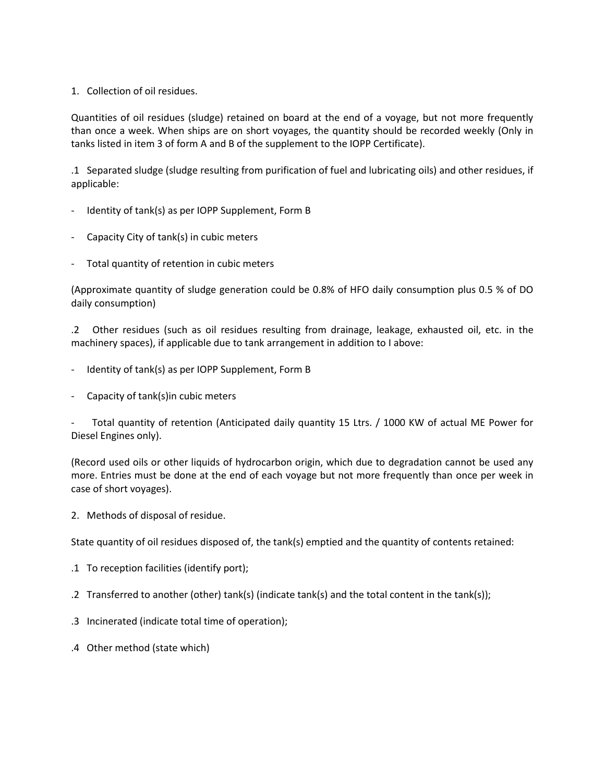# 1. Collection of oil residues.

Quantities of oil residues (sludge) retained on board at the end of a voyage, but not more frequently than once a week. When ships are on short voyages, the quantity should be recorded weekly (Only in tanks listed in item 3 of form A and B of the supplement to the IOPP Certificate).

.1 Separated sludge (sludge resulting from purification of fuel and lubricating oils) and other residues, if applicable:

- Identity of tank(s) as per IOPP Supplement, Form B
- Capacity City of tank(s) in cubic meters
- Total quantity of retention in cubic meters

(Approximate quantity of sludge generation could be 0.8% of HFO daily consumption plus 0.5 % of DO daily consumption)

.2 Other residues (such as oil residues resulting from drainage, leakage, exhausted oil, etc. in the machinery spaces), if applicable due to tank arrangement in addition to I above:

- Identity of tank(s) as per IOPP Supplement, Form B
- Capacity of tank(s)in cubic meters

Total quantity of retention (Anticipated daily quantity 15 Ltrs. / 1000 KW of actual ME Power for Diesel Engines only).

(Record used oils or other liquids of hydrocarbon origin, which due to degradation cannot be used any more. Entries must be done at the end of each voyage but not more frequently than once per week in case of short voyages).

2. Methods of disposal of residue.

State quantity of oil residues disposed of, the tank(s) emptied and the quantity of contents retained:

- .1 To reception facilities (identify port);
- .2 Transferred to another (other) tank(s) (indicate tank(s) and the total content in the tank(s));
- .3 Incinerated (indicate total time of operation);
- .4 Other method (state which)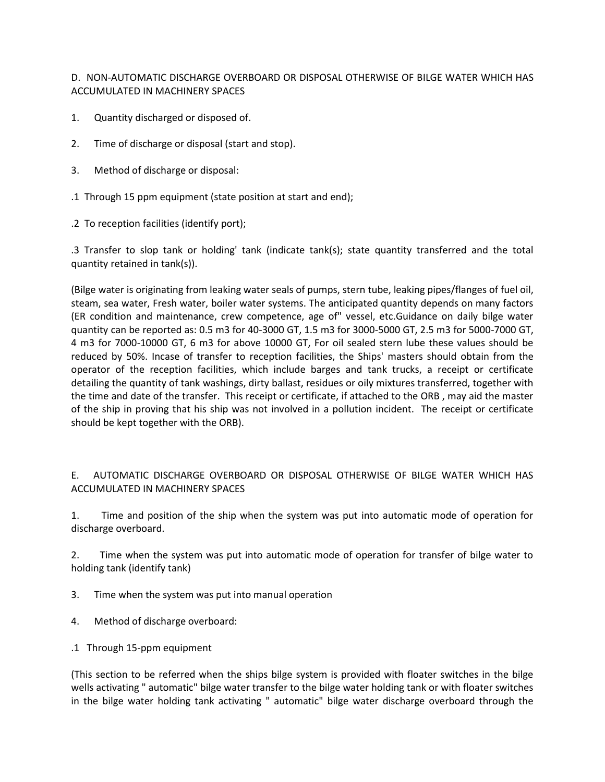D. NON-AUTOMATIC DISCHARGE OVERBOARD OR DISPOSAL OTHERWISE OF BILGE WATER WHICH HAS ACCUMULATED IN MACHINERY SPACES

- 1. Quantity discharged or disposed of.
- 2. Time of discharge or disposal (start and stop).
- 3. Method of discharge or disposal:
- .1 Through 15 ppm equipment (state position at start and end);
- .2 To reception facilities (identify port);

.3 Transfer to slop tank or holding' tank (indicate tank(s); state quantity transferred and the total quantity retained in tank(s)).

(Bilge water is originating from leaking water seals of pumps, stern tube, leaking pipes/flanges of fuel oil, steam, sea water, Fresh water, boiler water systems. The anticipated quantity depends on many factors (ER condition and maintenance, crew competence, age of" vessel, etc.Guidance on daily bilge water quantity can be reported as: 0.5 m3 for 40-3000 GT, 1.5 m3 for 3000-5000 GT, 2.5 m3 for 5000-7000 GT, 4 m3 for 7000-10000 GT, 6 m3 for above 10000 GT, For oil sealed stern lube these values should be reduced by 50%. Incase of transfer to reception facilities, the Ships' masters should obtain from the operator of the reception facilities, which include barges and tank trucks, a receipt or certificate detailing the quantity of tank washings, dirty ballast, residues or oily mixtures transferred, together with the time and date of the transfer. This receipt or certificate, if attached to the ORB , may aid the master of the ship in proving that his ship was not involved in a pollution incident. The receipt or certificate should be kept together with the ORB).

# E. AUTOMATIC DISCHARGE OVERBOARD OR DISPOSAL OTHERWISE OF BILGE WATER WHICH HAS ACCUMULATED IN MACHINERY SPACES

1. Time and position of the ship when the system was put into automatic mode of operation for discharge overboard.

2. Time when the system was put into automatic mode of operation for transfer of bilge water to holding tank (identify tank)

- 3. Time when the system was put into manual operation
- 4. Method of discharge overboard:
- .1 Through 15-ppm equipment

(This section to be referred when the ships bilge system is provided with floater switches in the bilge wells activating " automatic" bilge water transfer to the bilge water holding tank or with floater switches in the bilge water holding tank activating " automatic" bilge water discharge overboard through the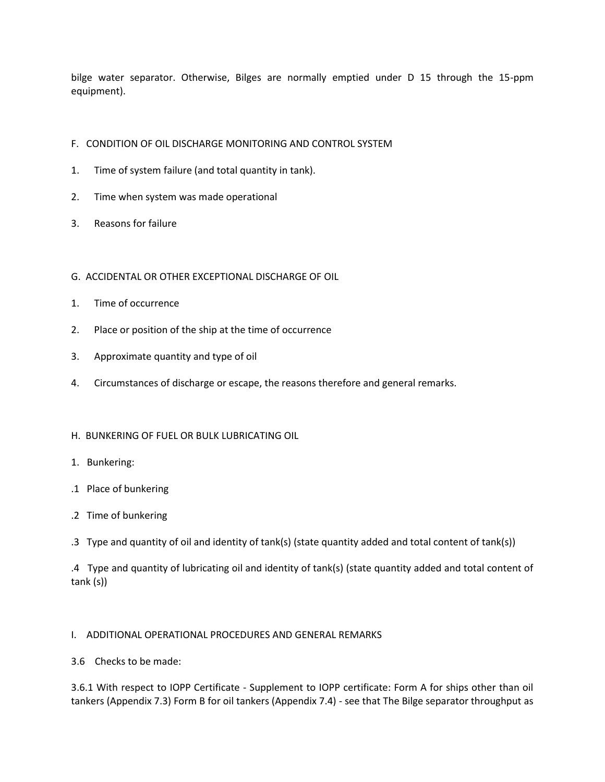bilge water separator. Otherwise, Bilges are normally emptied under D 15 through the 15-ppm equipment).

# F. CONDITION OF OIL DISCHARGE MONITORING AND CONTROL SYSTEM

- 1. Time of system failure (and total quantity in tank).
- 2. Time when system was made operational
- 3. Reasons for failure

# G. ACCIDENTAL OR OTHER EXCEPTIONAL DISCHARGE OF OIL

- 1. Time of occurrence
- 2. Place or position of the ship at the time of occurrence
- 3. Approximate quantity and type of oil
- 4. Circumstances of discharge or escape, the reasons therefore and general remarks.

# H. BUNKERING OF FUEL OR BULK LUBRICATING OIL

- 1. Bunkering:
- .1 Place of bunkering
- .2 Time of bunkering
- .3 Type and quantity of oil and identity of tank(s) (state quantity added and total content of tank(s))

.4 Type and quantity of lubricating oil and identity of tank(s) (state quantity added and total content of tank (s))

# I. ADDITIONAL OPERATIONAL PROCEDURES AND GENERAL REMARKS

# 3.6 Checks to be made:

3.6.1 With respect to IOPP Certificate - Supplement to IOPP certificate: Form A for ships other than oil tankers (Appendix 7.3) Form B for oil tankers (Appendix 7.4) - see that The Bilge separator throughput as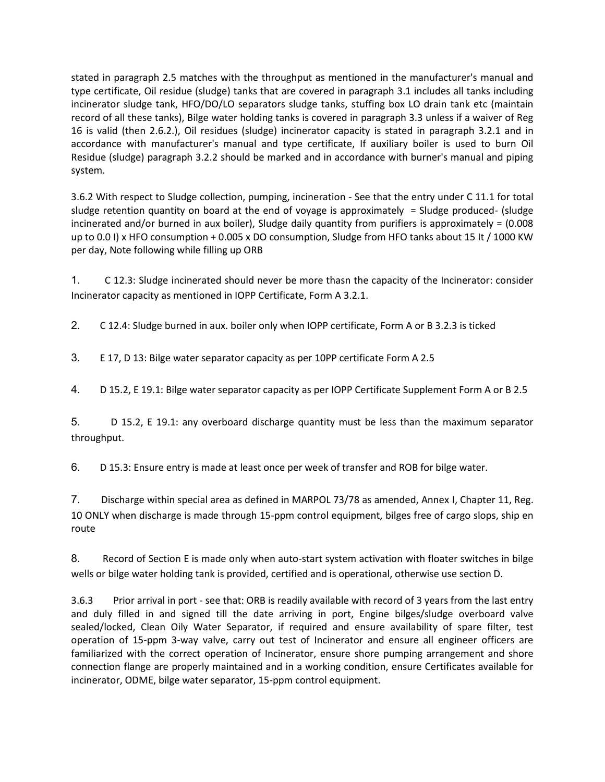stated in paragraph 2.5 matches with the throughput as mentioned in the manufacturer's manual and type certificate, Oil residue (sludge) tanks that are covered in paragraph 3.1 includes all tanks including incinerator sludge tank, HFO/DO/LO separators sludge tanks, stuffing box LO drain tank etc (maintain record of all these tanks), Bilge water holding tanks is covered in paragraph 3.3 unless if a waiver of Reg 16 is valid (then 2.6.2.), Oil residues (sludge) incinerator capacity is stated in paragraph 3.2.1 and in accordance with manufacturer's manual and type certificate, If auxiliary boiler is used to burn Oil Residue (sludge) paragraph 3.2.2 should be marked and in accordance with burner's manual and piping system.

3.6.2 With respect to Sludge collection, pumping, incineration - See that the entry under C 11.1 for total sludge retention quantity on board at the end of voyage is approximately  $=$  Sludge produced- (sludge incinerated and/or burned in aux boiler), Sludge daily quantity from purifiers is approximately = (0.008 up to 0.0 I) x HFO consumption + 0.005 x DO consumption, Sludge from HFO tanks about 15 It / 1000 KW per day, Note following while filling up ORB

1. C 12.3: Sludge incinerated should never be more thasn the capacity of the Incinerator: consider Incinerator capacity as mentioned in IOPP Certificate, Form A 3.2.1.

2. C 12.4: Sludge burned in aux. boiler only when IOPP certificate, Form A or B 3.2.3 is ticked

3. E 17, D 13: Bilge water separator capacity as per 10PP certificate Form A 2.5

4. D 15.2, E 19.1: Bilge water separator capacity as per IOPP Certificate Supplement Form A or B 2.5

5. D 15.2, E 19.1: any overboard discharge quantity must be less than the maximum separator throughput.

6. D 15.3: Ensure entry is made at least once per week of transfer and ROB for bilge water.

7. Discharge within special area as defined in MARPOL 73/78 as amended, Annex I, Chapter 11, Reg. 10 ONLY when discharge is made through 15-ppm control equipment, bilges free of cargo slops, ship en route

8. Record of Section E is made only when auto-start system activation with floater switches in bilge wells or bilge water holding tank is provided, certified and is operational, otherwise use section D.

3.6.3 Prior arrival in port - see that: ORB is readily available with record of 3 years from the last entry and duly filled in and signed till the date arriving in port, Engine bilges/sludge overboard valve sealed/locked, Clean Oily Water Separator, if required and ensure availability of spare filter, test operation of 15-ppm 3-way valve, carry out test of Incinerator and ensure all engineer officers are familiarized with the correct operation of Incinerator, ensure shore pumping arrangement and shore connection flange are properly maintained and in a working condition, ensure Certificates available for incinerator, ODME, bilge water separator, 15-ppm control equipment.